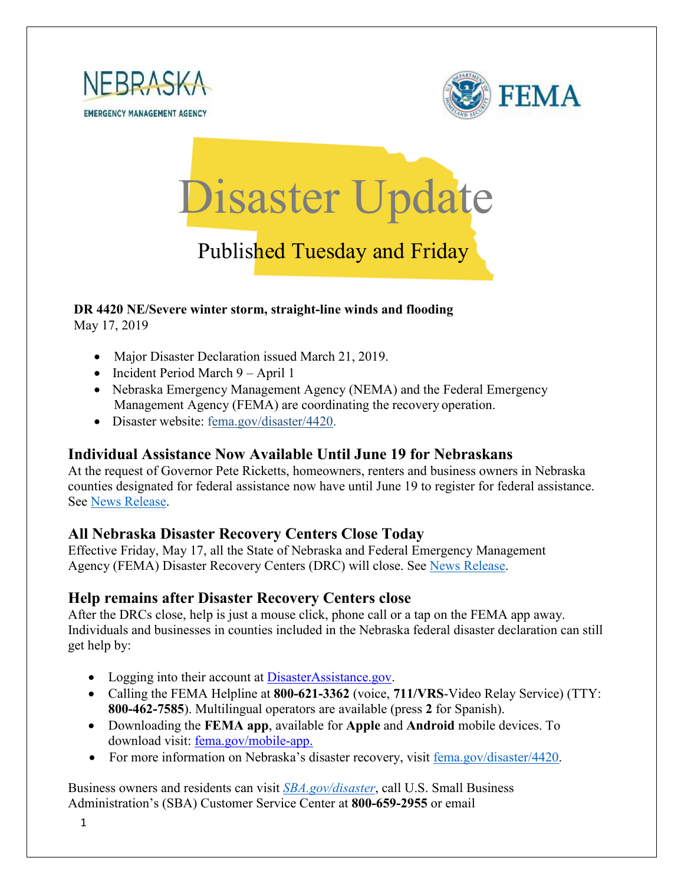





# Published Tuesday and Friday

## **DR 4420 NE/Severe winter storm, straight-line winds and flooding**

May 17, 2019

- Major Disaster Declaration issued March 21, 2019.
- Incident Period March 9 April 1
- Nebraska Emergency Management Agency (NEMA) and the Federal Emergency Management Agency (FEMA) are coordinating the recovery operation.
- Disaster website: [fema.gov/disaster/4420.](https://www.fema.gov/disaster/4420)

#### **Individual Assistance Now Available Until June 19 for Nebraskans**

At the request of Governor Pete Ricketts, homeowners, renters and business owners in Nebraska counties designated for federal assistance now have until June 19 to register for federal assistance. See [News Release.](https://www.fema.gov/news-release/2019/05/16/individual-assistance-now-available-until-june-19-nebraskans)

#### **All Nebraska Disaster Recovery Centers Close Today**

Effective Friday, May 17, all the State of Nebraska and Federal Emergency Management Agency (FEMA) Disaster Recovery Centers (DRC) will close. See [News Release.](https://www.fema.gov/news-release/2019/05/15/all-nebraska-disaster-recovery-centers-close-may-17)

#### **Help remains after Disaster Recovery Centers close**

After the DRCs close, help is just a mouse click, phone call or a tap on the FEMA app away. Individuals and businesses in counties included in the Nebraska federal disaster declaration can still get help by:

- Logging into their account at [DisasterAssistance.gov.](http://www.disasterassistance.gov/)
- Calling the FEMA Helpline at **800-621-3362** (voice, **711/VRS**-Video Relay Service) (TTY: **800-462-7585**). Multilingual operators are available (press **2** for Spanish).
- Downloading the **FEMA app**, available for **Apple** and **Android** mobile devices. To download visit: [fema.gov/mobile-app.](https://www.fema.gov/mobile-app)
- For more information on Nebraska's disaster recovery, visit [fema.gov/disaster/4420.](https://www.fema.gov/disaster/4420)

Business owners and residents can visit *[SBA.gov/disaster](http://www.sba.gov/disaster)*, call U.S. Small Business Administration's (SBA) Customer Service Center at **800-659-2955** or email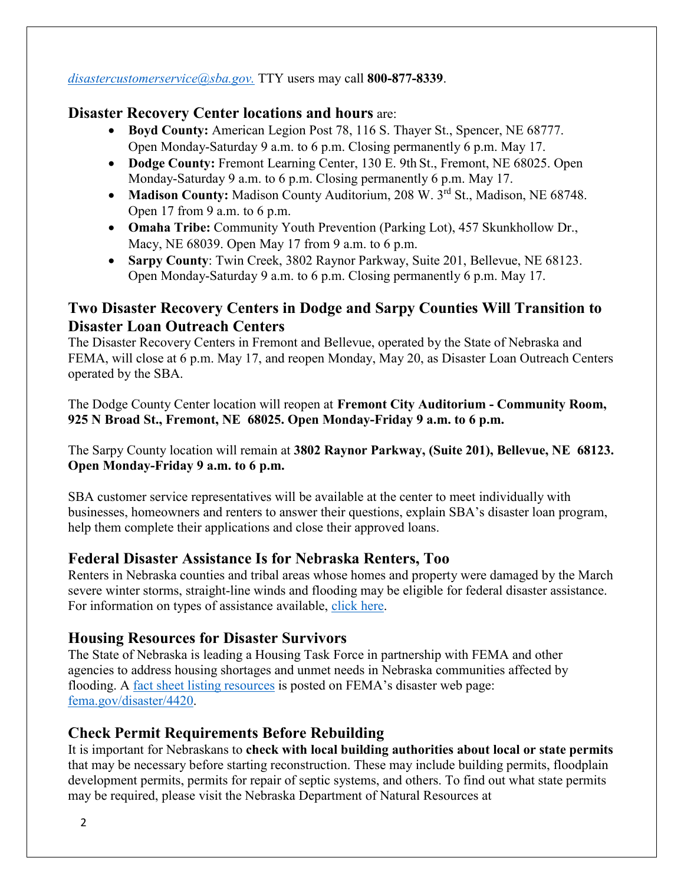*[disastercustomerservice@sba.gov.](mailto:disastercustomerservice@sba.gov)* TTY users may call **800-877-8339**.

#### **Disaster Recovery Center locations and hours** are:

- **Boyd County:** American Legion Post 78, 116 S. Thayer St., Spencer, NE 68777. Open Monday-Saturday 9 a.m. to 6 p.m. Closing permanently 6 p.m. May 17.
- **Dodge County:** Fremont Learning Center, 130 E. 9th St., Fremont, NE 68025. Open Monday-Saturday 9 a.m. to 6 p.m. Closing permanently 6 p.m. May 17.
- Madison County: Madison County Auditorium, 208 W. 3<sup>rd</sup> St., Madison, NE 68748. Open 17 from 9 a.m. to 6 p.m.
- **Omaha Tribe:** Community Youth Prevention (Parking Lot), 457 Skunkhollow Dr., Macy, NE 68039. Open May 17 from 9 a.m. to 6 p.m.
- **Sarpy County**: Twin Creek, 3802 Raynor Parkway, Suite 201, Bellevue, NE 68123. Open Monday-Saturday 9 a.m. to 6 p.m. Closing permanently 6 p.m. May 17.

#### **Two Disaster Recovery Centers in Dodge and Sarpy Counties Will Transition to Disaster Loan Outreach Centers**

The Disaster Recovery Centers in Fremont and Bellevue, operated by the State of Nebraska and FEMA, will close at 6 p.m. May 17, and reopen Monday, May 20, as Disaster Loan Outreach Centers operated by the SBA.

The Dodge County Center location will reopen at **Fremont City Auditorium - Community Room, 925 N Broad St., Fremont, NE 68025. Open Monday-Friday 9 a.m. to 6 p.m.**

The Sarpy County location will remain at **3802 Raynor Parkway, (Suite 201), Bellevue, NE 68123. Open Monday-Friday 9 a.m. to 6 p.m.**

SBA customer service representatives will be available at the center to meet individually with businesses, homeowners and renters to answer their questions, explain SBA's disaster loan program, help them complete their applications and close their approved loans.

#### **Federal Disaster Assistance Is for Nebraska Renters, Too**

Renters in Nebraska counties and tribal areas whose homes and property were damaged by the March severe winter storms, straight-line winds and flooding may be eligible for federal disaster assistance. For information on types of assistance available, [click here.](https://www.fema.gov/news-release/2019/05/13/federal-disaster-assistance-nebraska-renters-too)

#### **Housing Resources for Disaster Survivors**

The State of Nebraska is leading a Housing Task Force in partnership with FEMA and other agencies to address housing shortages and unmet needs in Nebraska communities affected by flooding. A <u>fact sheet listing resources</u> is posted on FEMA's disaster web page: [fema.gov/disaster/4420.](http://www.fema.gov/disaster/4420)

#### **Check Permit Requirements Before Rebuilding**

It is important for Nebraskans to **check with local building authorities about local or state permits** that may be necessary before starting reconstruction. These may include building permits, floodplain development permits, permits for repair of septic systems, and others. To find out what state permits may be required, please visit the Nebraska Department of Natural Resources at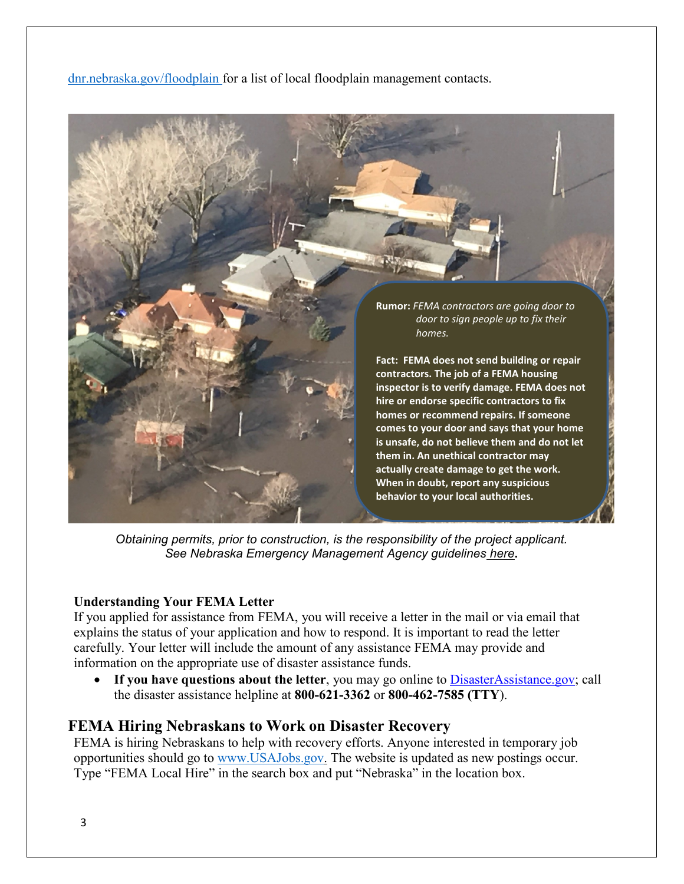[dnr.nebraska.gov/floodplain](https://dnr.nebraska.gov/floodplain) for a list of local floodplain management contacts.



*Obtaining permits, prior to construction, is the responsibility of the project applicant. See Nebraska Emergency Management Agency guidelines [here](https://nema.nebraska.gov/sites/nema.nebraska.gov/files/doc/ehp-considerations.pdf)***.**

#### **Understanding Your FEMA Letter**

If you applied for assistance from FEMA, you will receive a letter in the mail or via email that explains the status of your application and how to respond. It is important to read the letter carefully. Your letter will include the amount of any assistance FEMA may provide and information on the appropriate use of disaster assistance funds.

• If you have questions about the letter, you may go online to [DisasterAssistance.gov;](http://www.disasterassistance.gov/) call the disaster assistance helpline at **800-621-3362** or **800-462-7585 (TTY**).

#### **FEMA Hiring Nebraskans to Work on Disaster Recovery**

FEMA is hiring Nebraskans to help with recovery efforts. Anyone interested in temporary job opportunities should go to [www.USAJobs.gov.](http://www.usajobs.gov/) The website is updated as new postings occur. Type "FEMA Local Hire" in the search box and put "Nebraska" in the location box.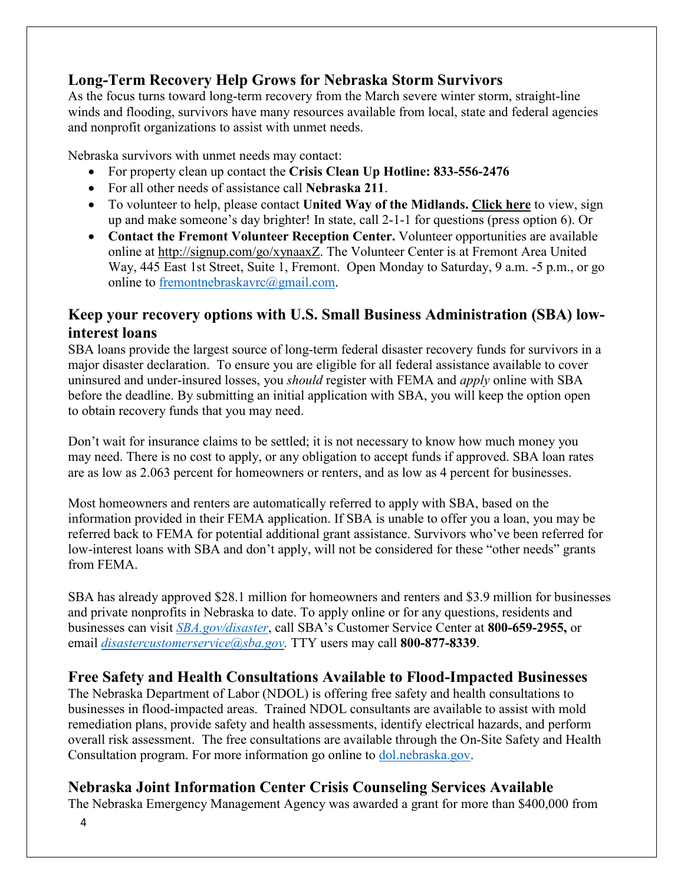#### **Long-Term Recovery Help Grows for Nebraska Storm Survivors**

As the focus turns toward long-term recovery from the March severe winter storm, straight-line winds and flooding, survivors have many resources available from local, state and federal agencies and nonprofit organizations to assist with unmet needs.

Nebraska survivors with unmet needs may contact:

- For property clean up contact the **Crisis Clean Up Hotline: 833-556-2476**
- For all other needs of assistance call **Nebraska 211**.
- To volunteer to help, please contact **United Way of the Midlands. [Click](https://uwmidlands.galaxydigital.com/need/?s=1&need_init_id=1660) here** to view, sign up and make someone's day brighter! In state, call 2-1-1 for questions (press option 6). Or
- **Contact the Fremont Volunteer Reception Center.** Volunteer opportunities are available online at [http://signup.com/go/xynaaxZ.](http://signup.com/go/xynaaxZ?fbclid=IwAR1m90U2vgYS7ECdb6AHljMooZNkdAfb6i-7s_1hgOCf11d0oi-VMnJcMYY) The Volunteer Center is at Fremont Area United Way, 445 East 1st Street, Suite 1, Fremont. Open Monday to Saturday, 9 a.m. -5 p.m., or go online to [fremontnebraskavrc@gmail.com.](mailto:fremontnebraskavrc@gmail.com)

#### **Keep your recovery options with U.S. Small Business Administration (SBA) lowinterest loans**

SBA loans provide the largest source of long-term federal disaster recovery funds for survivors in a major disaster declaration. To ensure you are eligible for all federal assistance available to cover uninsured and under-insured losses, you *should* register with FEMA and *apply* online with SBA before the deadline. By submitting an initial application with SBA, you will keep the option open to obtain recovery funds that you may need.

Don't wait for insurance claims to be settled; it is not necessary to know how much money you may need. There is no cost to apply, or any obligation to accept funds if approved. SBA loan rates are as low as 2.063 percent for homeowners or renters, and as low as 4 percent for businesses.

Most homeowners and renters are automatically referred to apply with SBA, based on the information provided in their FEMA application. If SBA is unable to offer you a loan, you may be referred back to FEMA for potential additional grant assistance. Survivors who've been referred for low-interest loans with SBA and don't apply, will not be considered for these "other needs" grants from FEMA.

SBA has already approved \$28.1 million for homeowners and renters and \$3.9 million for businesses and private nonprofits in Nebraska to date. To apply online or for any questions, residents and businesses can visit *[SBA.gov/disaster](http://www.sba.gov/disaster)*, call SBA's Customer Service Center at **800-659-2955,** or email *[disastercustomerservice@sba.gov.](mailto:disastercustomerservice@sba.gov)* TTY users may call **800-877-8339**.

#### **Free Safety and Health Consultations Available to Flood-Impacted Businesses**

The Nebraska Department of Labor (NDOL) is offering free safety and health consultations to businesses in flood-impacted areas. Trained NDOL consultants are available to assist with mold remediation plans, provide safety and health assessments, identify electrical hazards, and perform overall risk assessment. The free consultations are available through the On-Site Safety and Health Consultation program. For more information go online to [dol.nebraska.gov.](https://dol.nebraska.gov/PressRelease/Details/117)

#### **Nebraska Joint Information Center Crisis Counseling Services Available**

The Nebraska Emergency Management Agency was awarded a grant for more than \$400,000 from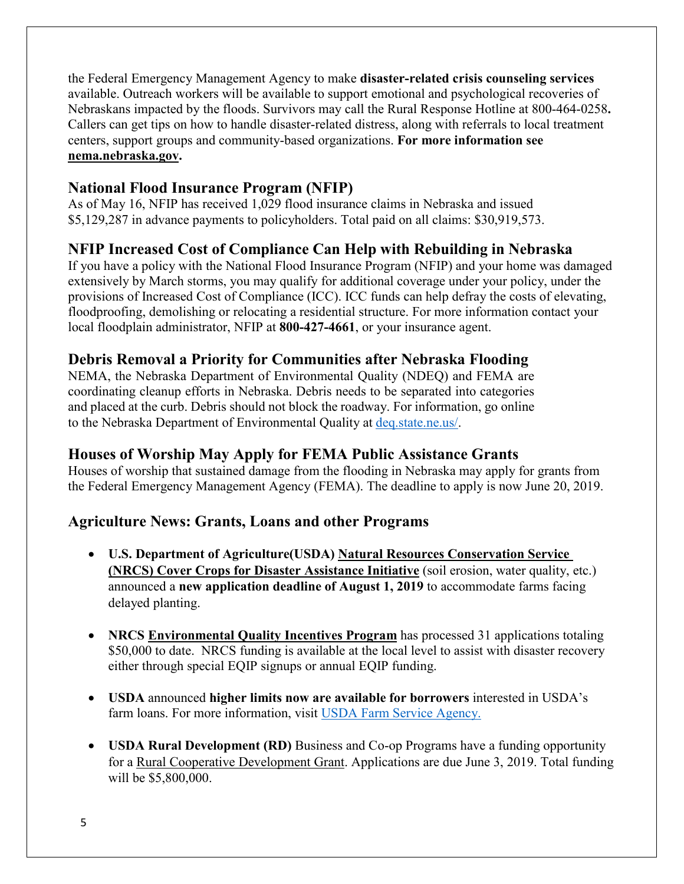the Federal Emergency Management Agency to make **disaster-related crisis counseling services** available. Outreach workers will be available to support emotional and psychological recoveries of Nebraskans impacted by the floods. Survivors may call the Rural Response Hotline at 800-464-0258**.**  Callers can get tips on how to handle disaster-related distress, along with referrals to local treatment centers, support groups and community-based organizations. **For more information see [nema.nebraska.gov.](file://fema.net/R7/DR/DR-4420-NE/EA/Planning%20and%20Products/Writers/Dale%20Bonza/DFS/nema.nebraska.gov)**

#### **National Flood Insurance Program (NFIP)**

As of May 16, NFIP has received 1,029 flood insurance claims in Nebraska and issued \$5,129,287 in advance payments to policyholders. Total paid on all claims: \$30,919,573.

#### **NFIP Increased Cost of Compliance Can Help with Rebuilding in Nebraska**

If you have a policy with the National Flood Insurance Program (NFIP) and your home was damaged extensively by March storms, you may qualify for additional coverage under your policy, under the provisions of Increased Cost of Compliance (ICC). ICC funds can help defray the costs of elevating, floodproofing, demolishing or relocating a residential structure. For more information contact your local floodplain administrator, NFIP at **800-427-4661**, or your insurance agent.

#### **Debris Removal a Priority for Communities after Nebraska Flooding**

NEMA, the Nebraska Department of Environmental Quality (NDEQ) and FEMA are coordinating cleanup efforts in Nebraska. Debris needs to be separated into categories and placed at the curb. Debris should not block the roadway. For information, go online to the Nebraska Department of Environmental Quality at [deq.state.ne.us/.](http://www.deq.state.ne.us/)

#### **Houses of Worship May Apply for FEMA Public Assistance Grants**

Houses of worship that sustained damage from the flooding in Nebraska may apply for grants from the Federal Emergency Management Agency (FEMA). The deadline to apply is now June 20, 2019.

#### **Agriculture News: Grants, Loans and other Programs**

- **U.S. Department of Agriculture(USDA) [Natural Resources Conservation Service](https://www.nrcs.usda.gov/wps/portal/nrcs/mo/newsroom/releases/9cb3c5a7-d3a4-470f-8fa0-cb132f8e07ab/)  (NRCS) [Cover Crops for Disaster Assistance Initiative](https://www.nrcs.usda.gov/wps/portal/nrcs/mo/newsroom/releases/9cb3c5a7-d3a4-470f-8fa0-cb132f8e07ab/)** (soil erosion, water quality, etc.) announced a **new application deadline of August 1, 2019** to accommodate farms facing delayed planting.
- **[NRCS Environmental Quality Incentives Program](https://www.nrcs.usda.gov/Internet/FSE_MEDIA/nrcseprd1429025.pdf)** has processed 31 applications totaling \$50,000 to date. NRCS funding is available at the local level to assist with disaster recovery either through special EQIP signups or annual EQIP funding.
- **USDA** announced **higher limits now are available for borrowers** interested in USDA's farm loans. For more information, visit [USDA Farm Service Agency.](https://www.fsa.usda.gov/)
- **USDA Rural Development (RD)** Business and Co-op Programs have a funding opportunity for a [Rural Cooperative Development Grant.](https://www.rd.usda.gov/programs-services/rural-cooperative-development-grant-program) Applications are due June 3, 2019. Total funding will be \$5,800,000.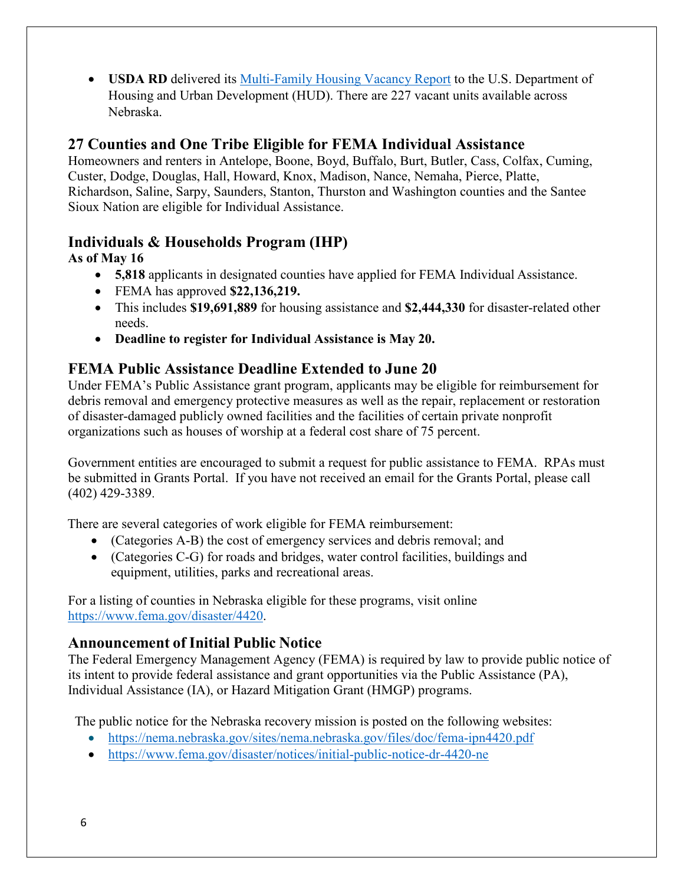• **USDA RD** delivered its Multi-Family [Housing Vacancy Report](https://www.rd.usda.gov/) to the U.S. Department of Housing and Urban Development (HUD). There are 227 vacant units available across Nebraska.

#### **27 Counties and One Tribe Eligible for FEMA Individual Assistance**

Homeowners and renters in Antelope, Boone, Boyd, Buffalo, Burt, Butler, Cass, Colfax, Cuming, Custer, Dodge, Douglas, Hall, Howard, Knox, Madison, Nance, Nemaha, Pierce, Platte, Richardson, Saline, Sarpy, Saunders, Stanton, Thurston and Washington counties and the Santee Sioux Nation are eligible for Individual Assistance.

### **Individuals & Households Program (IHP)**

#### **As of May 16**

- **5,818** applicants in designated counties have applied for FEMA Individual Assistance.
- FEMA has approved **\$22,136,219.**
- This includes **\$19,691,889** for housing assistance and **\$2,444,330** for disaster-related other needs.
- **Deadline to register for Individual Assistance is May 20.**

#### **FEMA Public Assistance Deadline Extended to June 20**

Under FEMA's Public Assistance grant program, applicants may be eligible for reimbursement for debris removal and emergency protective measures as well as the repair, replacement or restoration of disaster-damaged publicly owned facilities and the facilities of certain private nonprofit organizations such as houses of worship at a federal cost share of 75 percent.

Government entities are encouraged to submit a request for public assistance to FEMA. RPAs must be submitted in Grants Portal. If you have not received an email for the Grants Portal, please call (402) 429-3389.

There are several categories of work eligible for FEMA reimbursement:

- (Categories A-B) the cost of emergency services and debris removal; and
- (Categories C-G) for roads and bridges, water control facilities, buildings and equipment, utilities, parks and recreational areas.

For a listing of counties in Nebraska eligible for these programs, visit online [https://www.fema.gov/disaster/4420.](https://www.fema.gov/disaster/4420)

#### **Announcement of Initial Public Notice**

The Federal Emergency Management Agency (FEMA) is required by law to provide public notice of its intent to provide federal assistance and grant opportunities via the Public Assistance (PA), Individual Assistance (IA), or Hazard Mitigation Grant (HMGP) programs.

The public notice for the Nebraska recovery mission is posted on the following websites:

- <https://nema.nebraska.gov/sites/nema.nebraska.gov/files/doc/fema-ipn4420.pdf>
- <https://www.fema.gov/disaster/notices/initial-public-notice-dr-4420-ne>